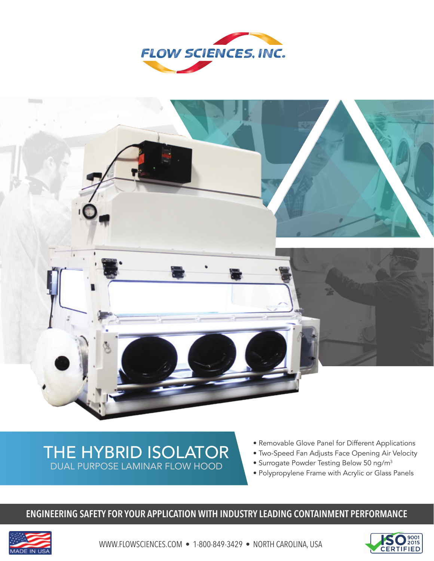



# THE HYBRID ISOLATOR DUAL PURPOSE LAMINAR FLOW HOOD

- Removable Glove Panel for Different Applications
- Two-Speed Fan Adjusts Face Opening Air Velocity
- Surrogate Powder Testing Below 50 ng/m<sup>3</sup>
- Polypropylene Frame with Acrylic or Glass Panels

## **ENGINEERING SAFETY FOR YOUR APPLICATION WITH INDUSTRY LEADING CONTAINMENT PERFORMANCE**



WWW.FLOWSCIENCES.COM • 1-800-849-3429 • NORTH CAROLINA, USA